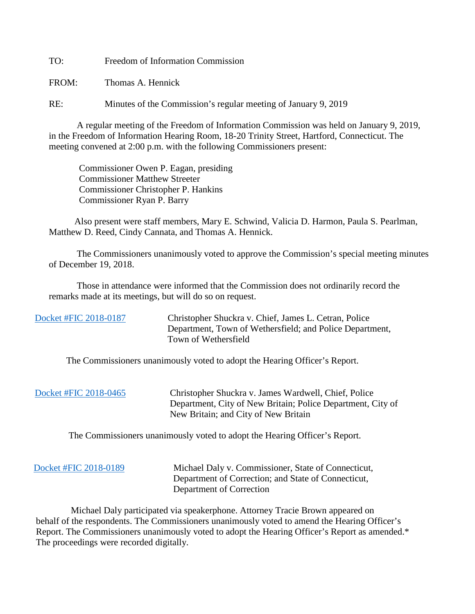TO: Freedom of Information Commission

FROM: Thomas A. Hennick

RE: Minutes of the Commission's regular meeting of January 9, 2019

A regular meeting of the Freedom of Information Commission was held on January 9, 2019, in the Freedom of Information Hearing Room, 18-20 Trinity Street, Hartford, Connecticut. The meeting convened at 2:00 p.m. with the following Commissioners present:

 Commissioner Owen P. Eagan, presiding Commissioner Matthew Streeter Commissioner Christopher P. Hankins Commissioner Ryan P. Barry

 Also present were staff members, Mary E. Schwind, Valicia D. Harmon, Paula S. Pearlman, Matthew D. Reed, Cindy Cannata, and Thomas A. Hennick.

The Commissioners unanimously voted to approve the Commission's special meeting minutes of December 19, 2018.

 Those in attendance were informed that the Commission does not ordinarily record the remarks made at its meetings, but will do so on request.

 [Docket #FIC 2018-0187](https://www.ct.gov/foi/lib/foi/minutes/2019/jan9/2018-0187.pdf) Christopher Shuckra v. Chief, James L. Cetran, Police Department, Town of Wethersfield; and Police Department, Town of Wethersfield

The Commissioners unanimously voted to adopt the Hearing Officer's Report.

| Docket #FIC 2018-0465 | Christopher Shuckra v. James Wardwell, Chief, Police<br>Department, City of New Britain; Police Department, City of<br>New Britain; and City of New Britain |
|-----------------------|-------------------------------------------------------------------------------------------------------------------------------------------------------------|
|                       |                                                                                                                                                             |

The Commissioners unanimously voted to adopt the Hearing Officer's Report.

| Docket #FIC 2018-0189 | Michael Daly v. Commissioner, State of Connecticut, |
|-----------------------|-----------------------------------------------------|
|                       | Department of Correction; and State of Connecticut, |
|                       | Department of Correction                            |

 Michael Daly participated via speakerphone. Attorney Tracie Brown appeared on behalf of the respondents. The Commissioners unanimously voted to amend the Hearing Officer's Report. The Commissioners unanimously voted to adopt the Hearing Officer's Report as amended.\* The proceedings were recorded digitally.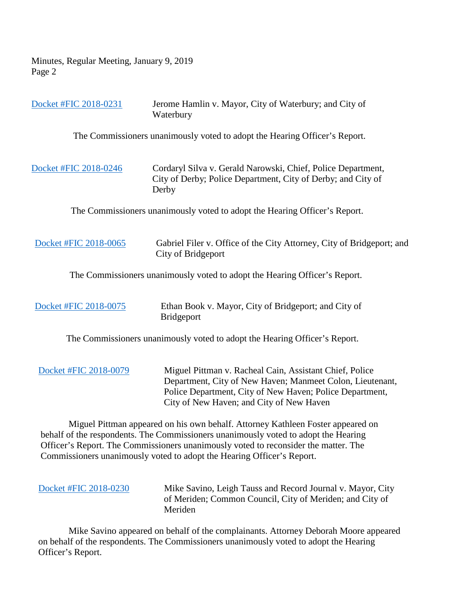|                                                                            | Docket #FIC 2018-0231 | Jerome Hamlin v. Mayor, City of Waterbury; and City of<br>Waterbury                                                                                                                                                          |
|----------------------------------------------------------------------------|-----------------------|------------------------------------------------------------------------------------------------------------------------------------------------------------------------------------------------------------------------------|
|                                                                            |                       | The Commissioners unanimously voted to adopt the Hearing Officer's Report.                                                                                                                                                   |
|                                                                            | Docket #FIC 2018-0246 | Cordaryl Silva v. Gerald Narowski, Chief, Police Department,<br>City of Derby; Police Department, City of Derby; and City of<br>Derby                                                                                        |
|                                                                            |                       | The Commissioners unanimously voted to adopt the Hearing Officer's Report.                                                                                                                                                   |
|                                                                            | Docket #FIC 2018-0065 | Gabriel Filer v. Office of the City Attorney, City of Bridgeport; and<br>City of Bridgeport                                                                                                                                  |
| The Commissioners unanimously voted to adopt the Hearing Officer's Report. |                       |                                                                                                                                                                                                                              |
|                                                                            | Docket #FIC 2018-0075 | Ethan Book v. Mayor, City of Bridgeport; and City of<br><b>Bridgeport</b>                                                                                                                                                    |
|                                                                            |                       | The Commissioners unanimously voted to adopt the Hearing Officer's Report.                                                                                                                                                   |
|                                                                            | Docket #FIC 2018-0079 | Miguel Pittman v. Racheal Cain, Assistant Chief, Police<br>Department, City of New Haven; Manmeet Colon, Lieutenant,<br>Police Department, City of New Haven; Police Department,<br>City of New Haven; and City of New Haven |
|                                                                            |                       | Miguel Pittman appeared on his own behalf. Attorney Kathleen Foster appeared on                                                                                                                                              |

 behalf of the respondents. The Commissioners unanimously voted to adopt the Hearing Officer's Report. The Commissioners unanimously voted to reconsider the matter. The Commissioners unanimously voted to adopt the Hearing Officer's Report.

| Docket #FIC 2018-0230 | Mike Savino, Leigh Tauss and Record Journal v. Mayor, City |
|-----------------------|------------------------------------------------------------|
|                       | of Meriden; Common Council, City of Meriden; and City of   |
|                       | Meriden                                                    |
|                       |                                                            |

 Mike Savino appeared on behalf of the complainants. Attorney Deborah Moore appeared on behalf of the respondents. The Commissioners unanimously voted to adopt the Hearing Officer's Report.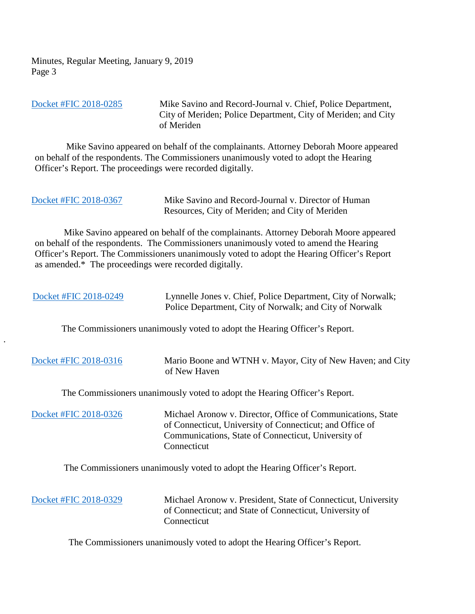[Docket #FIC 2018-0285](https://www.ct.gov/foi/lib/foi/minutes/2019/jan9/2018-0285.pdf) Mike Savino and Record-Journal v. Chief, Police Department, City of Meriden; Police Department, City of Meriden; and City of Meriden

 Mike Savino appeared on behalf of the complainants. Attorney Deborah Moore appeared on behalf of the respondents. The Commissioners unanimously voted to adopt the Hearing Officer's Report. The proceedings were recorded digitally.

| Docket #FIC 2018-0367 | Mike Savino and Record-Journal v. Director of Human |
|-----------------------|-----------------------------------------------------|
|                       | Resources, City of Meriden; and City of Meriden     |

 Mike Savino appeared on behalf of the complainants. Attorney Deborah Moore appeared on behalf of the respondents. The Commissioners unanimously voted to amend the Hearing Officer's Report. The Commissioners unanimously voted to adopt the Hearing Officer's Report as amended.\* The proceedings were recorded digitally.

| Docket #FIC 2018-0249                                                      | Lynnelle Jones v. Chief, Police Department, City of Norwalk;<br>Police Department, City of Norwalk; and City of Norwalk                                                                       |
|----------------------------------------------------------------------------|-----------------------------------------------------------------------------------------------------------------------------------------------------------------------------------------------|
| $\bullet$                                                                  | The Commissioners unanimously voted to adopt the Hearing Officer's Report.                                                                                                                    |
| Docket #FIC 2018-0316                                                      | Mario Boone and WTNH v. Mayor, City of New Haven; and City<br>of New Haven                                                                                                                    |
| The Commissioners unanimously voted to adopt the Hearing Officer's Report. |                                                                                                                                                                                               |
| Docket #FIC 2018-0326                                                      | Michael Aronow v. Director, Office of Communications, State<br>of Connecticut, University of Connecticut; and Office of<br>Communications, State of Connecticut, University of<br>Connecticut |

The Commissioners unanimously voted to adopt the Hearing Officer's Report.

| Docket #FIC 2018-0329 | Michael Aronow v. President, State of Connecticut, University<br>of Connecticut; and State of Connecticut, University of<br>Connecticut |
|-----------------------|-----------------------------------------------------------------------------------------------------------------------------------------|
|-----------------------|-----------------------------------------------------------------------------------------------------------------------------------------|

The Commissioners unanimously voted to adopt the Hearing Officer's Report.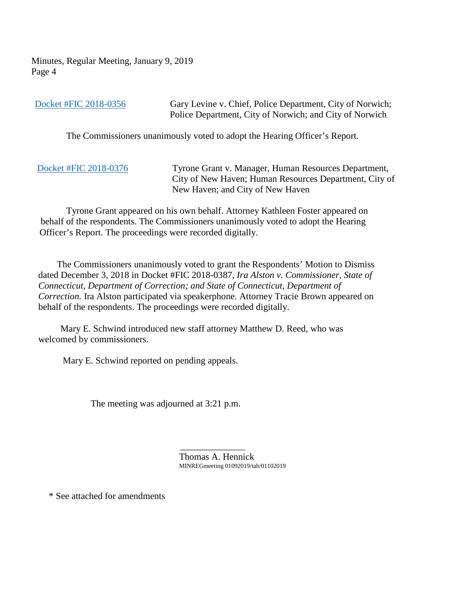| Docket #FIC 2018-0356 | Gary Levine v. Chief, Police Department, City of Norwich;<br>Police Department, City of Norwich; and City of Norwich                               |
|-----------------------|----------------------------------------------------------------------------------------------------------------------------------------------------|
|                       | The Commissioners unanimously voted to adopt the Hearing Officer's Report.                                                                         |
| Docket #FIC 2018-0376 | Tyrone Grant v. Manager, Human Resources Department,<br>City of New Haven; Human Resources Department, City of<br>New Haven; and City of New Haven |

 Tyrone Grant appeared on his own behalf. Attorney Kathleen Foster appeared on behalf of the respondents. The Commissioners unanimously voted to adopt the Hearing Officer's Report. The proceedings were recorded digitally.

 The Commissioners unanimously voted to grant the Respondents' Motion to Dismiss dated December 3, 2018 in Docket #FIC 2018-0387, *Ira Alston v. Commissioner, State of Connecticut, Department of Correction; and State of Connecticut, Department of Correction.* Ira Alston participated via speakerphone. Attorney Tracie Brown appeared on behalf of the respondents. The proceedings were recorded digitally.

 Mary E. Schwind introduced new staff attorney Matthew D. Reed, who was welcomed by commissioners.

Mary E. Schwind reported on pending appeals.

The meeting was adjourned at 3:21 p.m.

 $\mathcal{L}_\text{max}$  and  $\mathcal{L}_\text{max}$  and  $\mathcal{L}_\text{max}$  and  $\mathcal{L}_\text{max}$ Thomas A. Hennick MINREGmeeting 01092019/tah/01102019

\* See attached for amendments